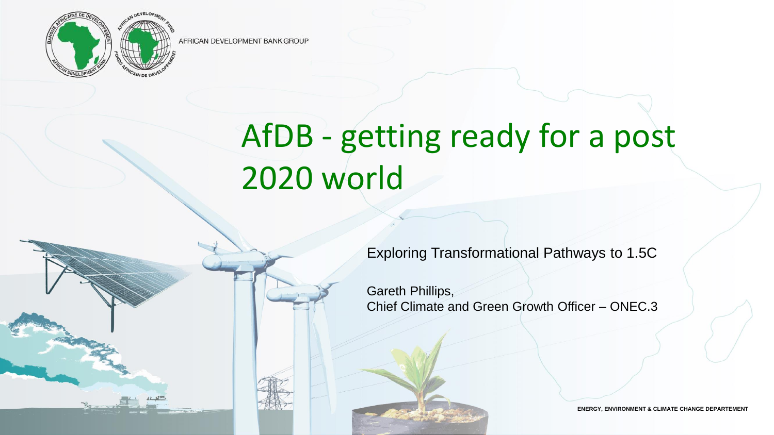

**IFRICAN DEVELOPMENT BANK GROUP** 

## AfDB - getting ready for a post 2020 world



Gareth Phillips, Chief Climate and Green Growth Officer – ONEC.3

**ENERGY, ENVIRONMENT & CLIMATE CHANGE DEPARTEMENT**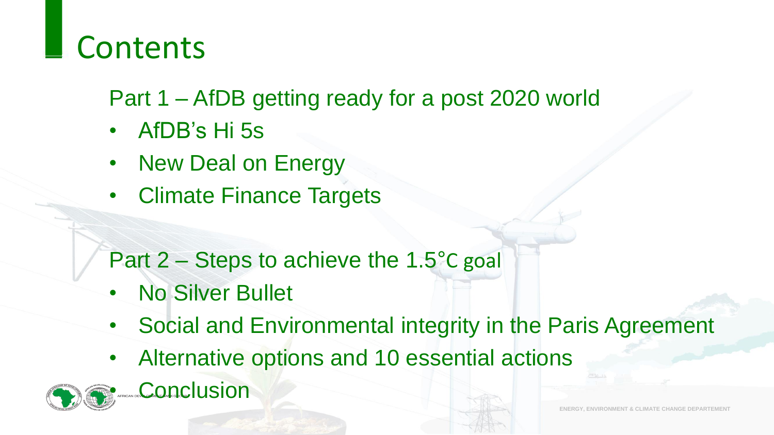### **Contents**

#### Part 1 – AfDB getting ready for a post 2020 world

- AfDB's Hi 5s
- New Deal on Energy
- Climate Finance Targets

Part 2 – Steps to achieve the 1.5°C goal

- No Silver Bullet
- Social and Environmental integrity in the Paris Agreement
- Alternative options and 10 essential actions



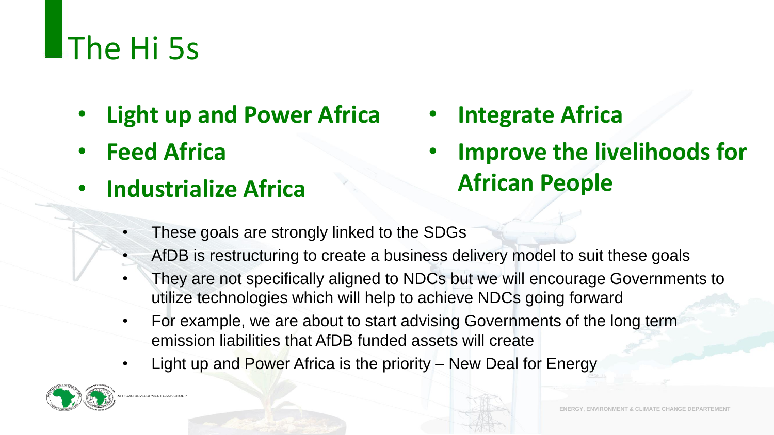# The Hi 5s

- **Light up and Power Africa**
- **Feed Africa**
- **Industrialize Africa**

• **Integrate Africa**

• **Improve the livelihoods for African People**

- These goals are strongly linked to the SDGs
- AfDB is restructuring to create a business delivery model to suit these goals
- They are not specifically aligned to NDCs but we will encourage Governments to utilize technologies which will help to achieve NDCs going forward
- For example, we are about to start advising Governments of the long term emission liabilities that AfDB funded assets will create
- Light up and Power Africa is the priority New Deal for Energy

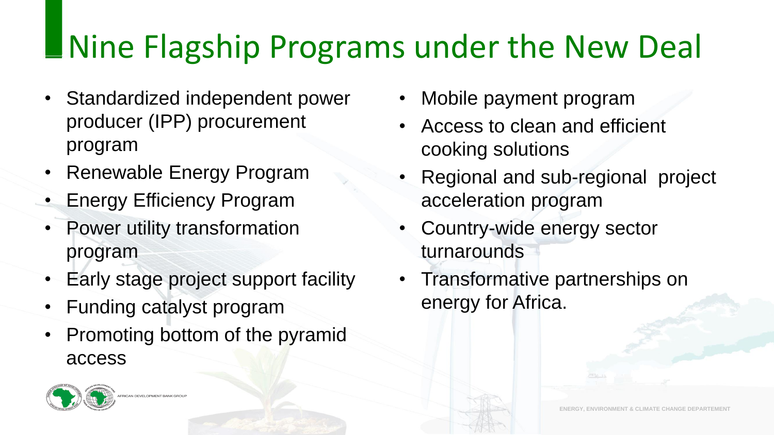## Nine Flagship Programs under the New Deal

- Standardized independent power producer (IPP) procurement program
- Renewable Energy Program
- **Energy Efficiency Program**
- Power utility transformation program
- Early stage project support facility
- Funding catalyst program
- Promoting bottom of the pyramid access
- 
- Mobile payment program
- Access to clean and efficient cooking solutions
- Regional and sub-regional project acceleration program
- Country-wide energy sector turnarounds
- Transformative partnerships on energy for Africa.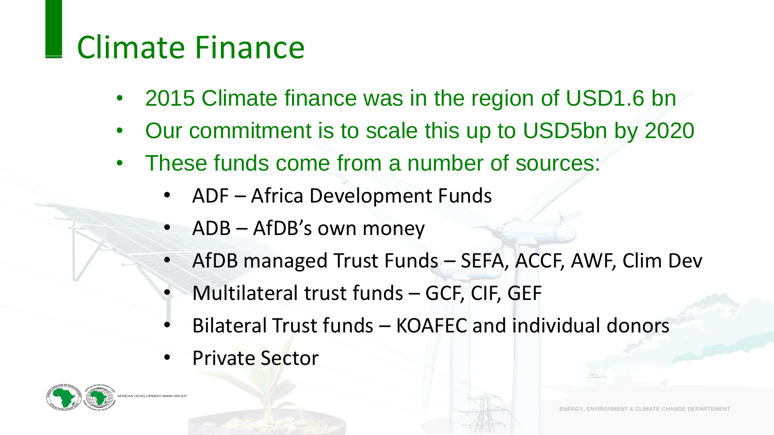## ■ Climate Finance

- 2015 Climate finance was in the region of USD1.6 bn
- Our commitment is to scale this up to USD5bn by 2020
- These funds come from a number of sources:
	- ADF Africa Development Funds
	- ADB AfDB's own money
	- AfDB managed Trust Funds SEFA, ACCF, AWF, Clim Dev
	- Multilateral trust funds GCF, CIF, GEF
	- Bilateral Trust funds KOAFEC and individual donors
	- Private Sector



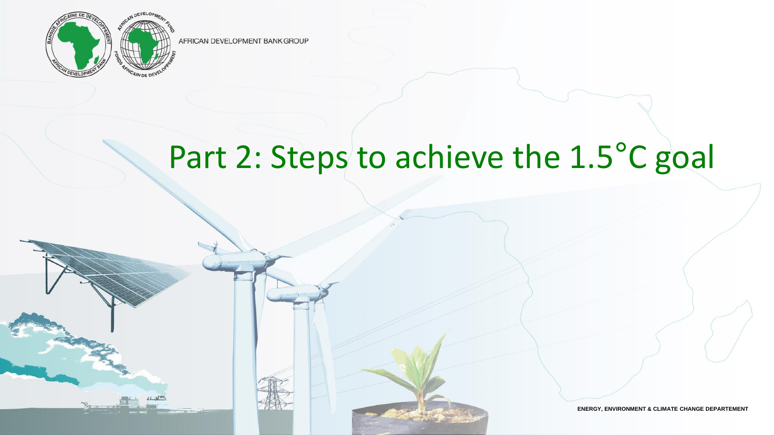

AFRICAN DEVELOPMENT BANK GROUP

### Part 2: Steps to achieve the 1.5°C goal

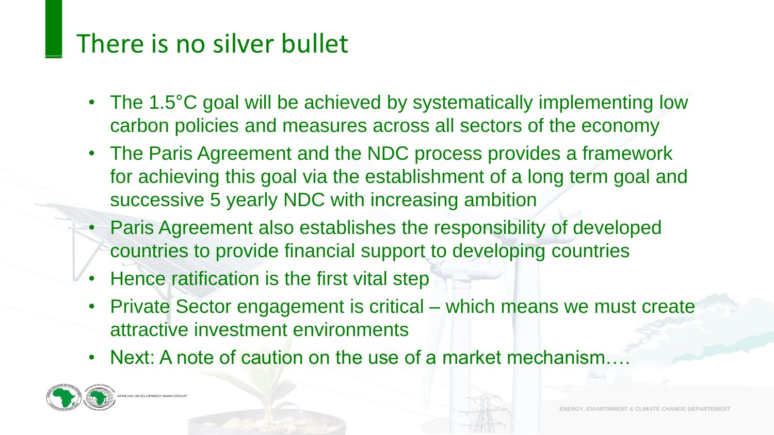#### There is no silver bullet

- The 1.5°C goal will be achieved by systematically implementing low carbon policies and measures across all sectors of the economy
- The Paris Agreement and the NDC process provides a framework for achieving this goal via the establishment of a long term goal and successive 5 yearly NDC with increasing ambition
- Paris Agreement also establishes the responsibility of developed countries to provide financial support to developing countries
- Hence ratification is the first vital step
- Private Sector engagement is critical which means we must create attractive investment environments
- Next: A note of caution on the use of a market mechanism....

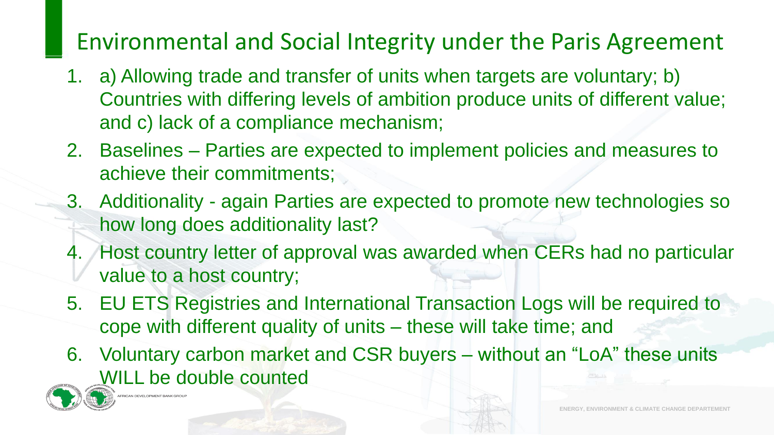#### Environmental and Social Integrity under the Paris Agreement

- 1. a) Allowing trade and transfer of units when targets are voluntary; b) Countries with differing levels of ambition produce units of different value; and c) lack of a compliance mechanism;
- 2. Baselines Parties are expected to implement policies and measures to achieve their commitments;
- 3. Additionality again Parties are expected to promote new technologies so how long does additionality last?
- 4. Host country letter of approval was awarded when CERs had no particular value to a host country;
- 5. EU ETS Registries and International Transaction Logs will be required to cope with different quality of units – these will take time; and
- 6. Voluntary carbon market and CSR buyers without an "LoA" these units WILL be double counted



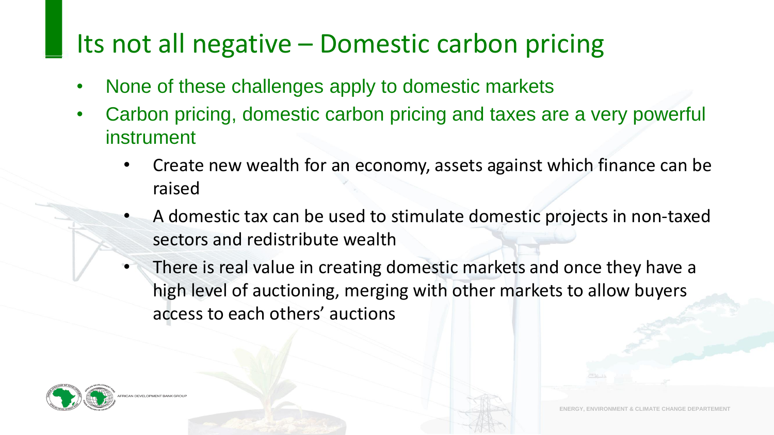#### Its not all negative – Domestic carbon pricing

- None of these challenges apply to domestic markets
- Carbon pricing, domestic carbon pricing and taxes are a very powerful instrument
	- Create new wealth for an economy, assets against which finance can be raised
	- A domestic tax can be used to stimulate domestic projects in non-taxed sectors and redistribute wealth
	- There is real value in creating domestic markets and once they have a high level of auctioning, merging with other markets to allow buyers access to each others' auctions





**ENERGY, ENVIRONMENT & CLIMATE CHANGE DEPARTEMENT**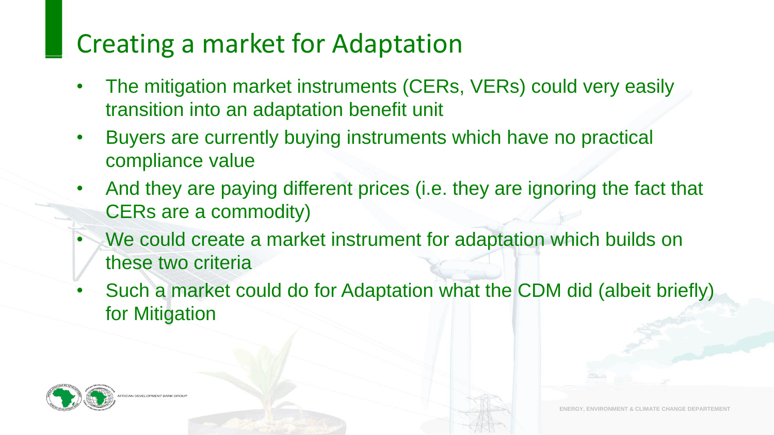#### Creating a market for Adaptation

- The mitigation market instruments (CERs, VERs) could very easily transition into an adaptation benefit unit
- Buyers are currently buying instruments which have no practical compliance value
- And they are paying different prices (i.e. they are ignoring the fact that CERs are a commodity)
- We could create a market instrument for adaptation which builds on these two criteria
- Such a market could do for Adaptation what the CDM did (albeit briefly) for Mitigation





**ENERGY, ENVIRONMENT & CLIMATE CHANGE DEPARTEMENT**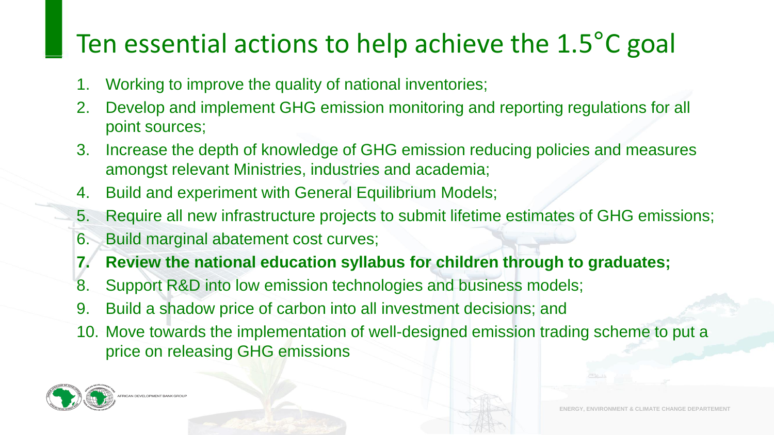#### Ten essential actions to help achieve the 1.5°C goal

- 1. Working to improve the quality of national inventories;
- 2. Develop and implement GHG emission monitoring and reporting regulations for all point sources;
- 3. Increase the depth of knowledge of GHG emission reducing policies and measures amongst relevant Ministries, industries and academia;
- 4. Build and experiment with General Equilibrium Models;
- 5. Require all new infrastructure projects to submit lifetime estimates of GHG emissions;
- 6. Build marginal abatement cost curves;
- **7. Review the national education syllabus for children through to graduates;**
- 8. Support R&D into low emission technologies and business models;
- 9. Build a shadow price of carbon into all investment decisions; and
- 10. Move towards the implementation of well-designed emission trading scheme to put a price on releasing GHG emissions



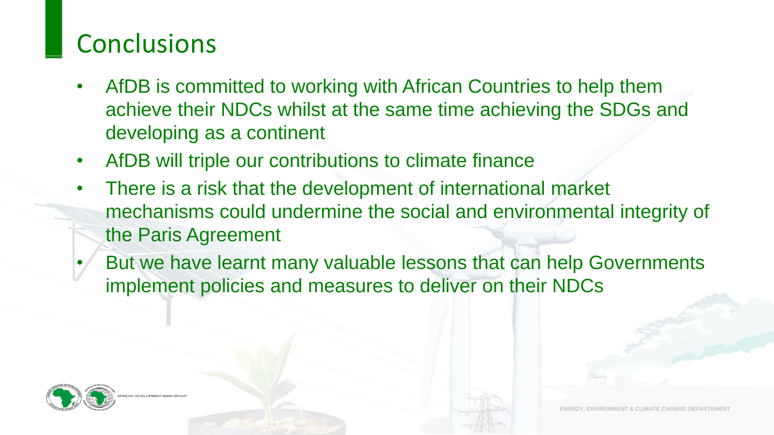#### **Conclusions**

- AfDB is committed to working with African Countries to help them achieve their NDCs whilst at the same time achieving the SDGs and developing as a continent
- AfDB will triple our contributions to climate finance
- There is a risk that the development of international market mechanisms could undermine the social and environmental integrity of the Paris Agreement
- But we have learnt many valuable lessons that can help Governments implement policies and measures to deliver on their NDCs